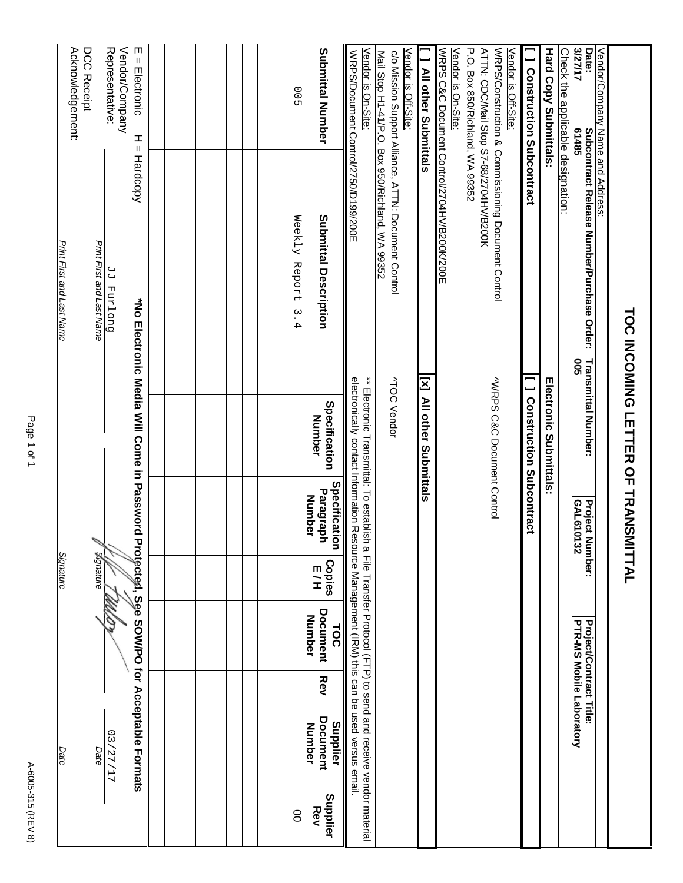|                                                                |                                                                                                         | TOC INCOMING LETTER OF TRANSMITTAL                                                      |                      |                                             |               |                                         |            |                                                                                                                                                                                                                      |                 |
|----------------------------------------------------------------|---------------------------------------------------------------------------------------------------------|-----------------------------------------------------------------------------------------|----------------------|---------------------------------------------|---------------|-----------------------------------------|------------|----------------------------------------------------------------------------------------------------------------------------------------------------------------------------------------------------------------------|-----------------|
| Date:<br>Vendor/Company Name and Address:                      | Subcontract Release Number/Purchase Order:                                                              | <b>Transmittal Number:</b>                                                              |                      | Project<br>Number:                          |               | Project/Contract Title:                 |            |                                                                                                                                                                                                                      |                 |
| <b>S/27/17</b><br>Check the applicable designation:<br>61485   |                                                                                                         | ទី                                                                                      |                      | GAL610132                                   |               | PTR-MS Mobile Laboratory                |            |                                                                                                                                                                                                                      |                 |
| <b>Hard Copy Submittals:</b>                                   |                                                                                                         | Electronic Submittals                                                                   |                      |                                             |               |                                         |            |                                                                                                                                                                                                                      |                 |
| [ ] Construction Subcontract                                   |                                                                                                         | <b>I Construction Subcontract</b>                                                       |                      |                                             |               |                                         |            |                                                                                                                                                                                                                      |                 |
| P.O. Box 850/Richland, WA 99352<br>Vendor is Off-Site:         | WRPS/Construction & Commissioning Document Control<br>ATTN: CDC/Mail Stop S7-68/2704HV/B200K            | <b>VWRPS C&amp;C Document Control</b>                                                   |                      |                                             |               |                                         |            |                                                                                                                                                                                                                      |                 |
| Vendor is On-Site:                                             | WRPS C&C Document Control/2704HV/B200K/200E                                                             |                                                                                         |                      |                                             |               |                                         |            |                                                                                                                                                                                                                      |                 |
| 1 All other Submittals                                         |                                                                                                         | Σ                                                                                       | All other Submittals |                                             |               |                                         |            |                                                                                                                                                                                                                      |                 |
| Vendor is Off-Site:                                            | c/o Mission Support Alliance, ATTN: Document Control<br>Mail Stop H1-41/P.O. Box 950/Richland, WA 99352 | <b>ATOC Vendor</b>                                                                      |                      |                                             |               |                                         |            |                                                                                                                                                                                                                      |                 |
| Vendor is On-Site:<br>WRPS/Document Control/2750/D199/200E     |                                                                                                         |                                                                                         |                      |                                             |               |                                         |            | electronically contrat information of the Mosocial CIRV (XIEN) (HRV) is can be used vexaged versus semail<br>** Electronic Transmittal: To essabish a File Transfer Procol (FTP) to send and receive vendor material |                 |
| Submittal Number                                               | Submittal Description                                                                                   | Specification<br>Number                                                                 |                      | Specification<br>Paragraph<br><b>Number</b> | Copies<br>E/H | <b>Document</b><br>Number<br><b>TOC</b> | <b>Rev</b> | Document<br>Supplier<br>Number                                                                                                                                                                                       | Supplier<br>Rev |
| 00 <sub>2</sub>                                                | Weekly<br>Report<br>ب<br>.<br>4                                                                         |                                                                                         |                      |                                             |               |                                         |            |                                                                                                                                                                                                                      | 8               |
|                                                                |                                                                                                         |                                                                                         |                      |                                             |               |                                         |            |                                                                                                                                                                                                                      |                 |
|                                                                |                                                                                                         |                                                                                         |                      |                                             |               |                                         |            |                                                                                                                                                                                                                      |                 |
|                                                                |                                                                                                         |                                                                                         |                      |                                             |               |                                         |            |                                                                                                                                                                                                                      |                 |
| Vendor/Company<br>Representative:<br>ш<br>Ш<br>Electronic<br>I | Ш<br>Hardcopy<br>Duo Land PP                                                                            | *No Electronic Media Will Come in Password Protected, See SOM/PO tor Acceptable Formats |                      |                                             |               |                                         |            | 77/77/17                                                                                                                                                                                                             |                 |
| Acknowledgement:<br>DCC Receipt                                | Print First and Last Name                                                                               |                                                                                         |                      |                                             | gignature     |                                         |            | Date                                                                                                                                                                                                                 |                 |
|                                                                | Print First and Last Name                                                                               |                                                                                         |                      |                                             | Signature     |                                         |            | Date                                                                                                                                                                                                                 |                 |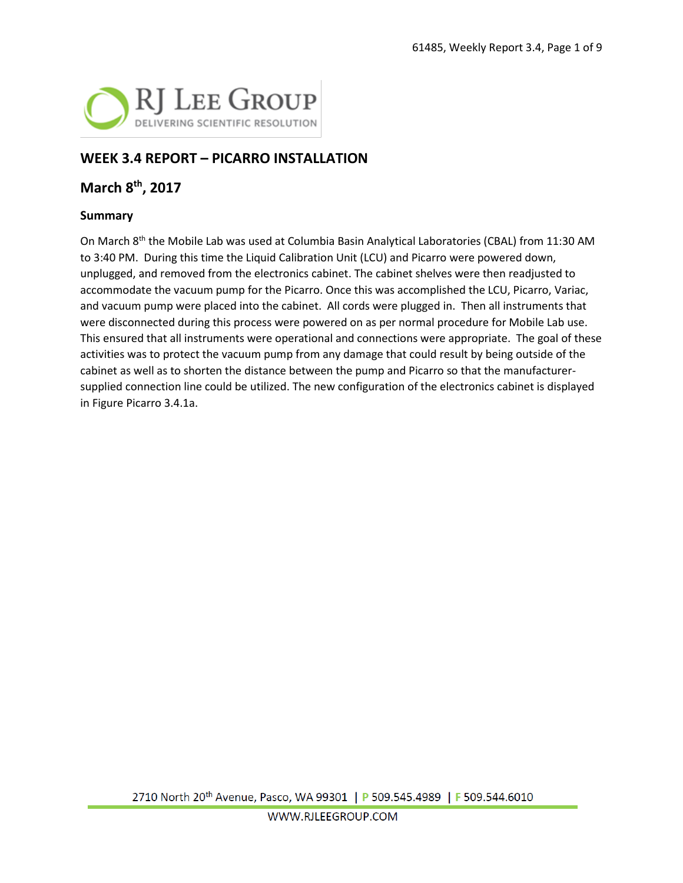

## **WEEK 3.4 REPORT – PICARRO INSTALLATION**

#### **March 8th, 2017**

#### **Summary**

On March 8<sup>th</sup> the Mobile Lab was used at Columbia Basin Analytical Laboratories (CBAL) from 11:30 AM to 3:40 PM. During this time the Liquid Calibration Unit (LCU) and Picarro were powered down, unplugged, and removed from the electronics cabinet. The cabinet shelves were then readjusted to accommodate the vacuum pump for the Picarro. Once this was accomplished the LCU, Picarro, Variac, and vacuum pump were placed into the cabinet. All cords were plugged in. Then all instruments that were disconnected during this process were powered on as per normal procedure for Mobile Lab use. This ensured that all instruments were operational and connections were appropriate. The goal of these activities was to protect the vacuum pump from any damage that could result by being outside of the cabinet as well as to shorten the distance between the pump and Picarro so that the manufacturersupplied connection line could be utilized. The new configuration of the electronics cabinet is displayed in Figure Picarro 3.4.1a.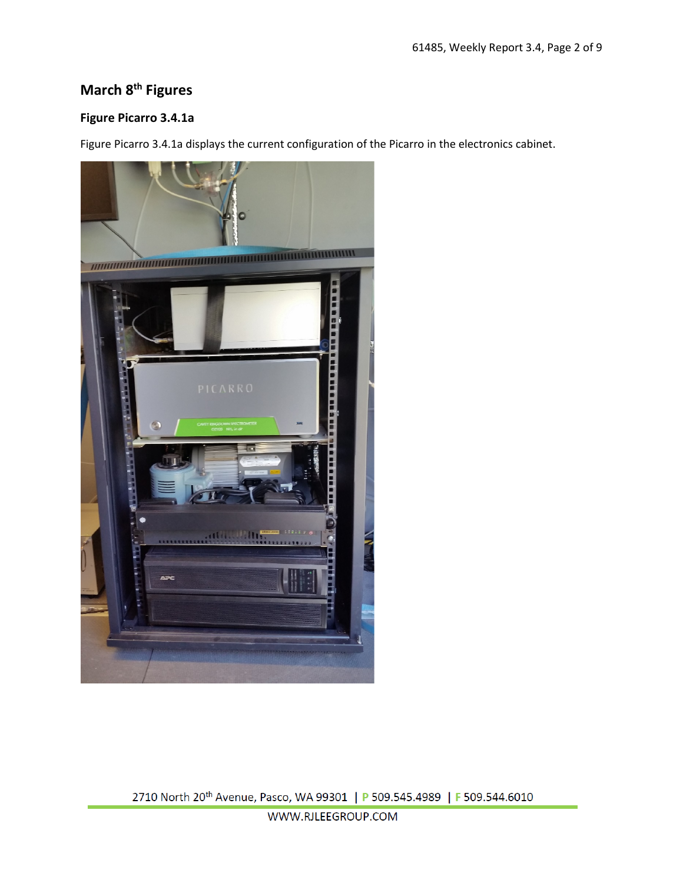# **March 8th Figures**

#### **Figure Picarro 3.4.1a**

Figure Picarro 3.4.1a displays the current configuration of the Picarro in the electronics cabinet.



2710 North 20<sup>th</sup> Avenue, Pasco, WA 99301 | P 509.545.4989 | F 509.544.6010

WWW.RJLEEGROUP.COM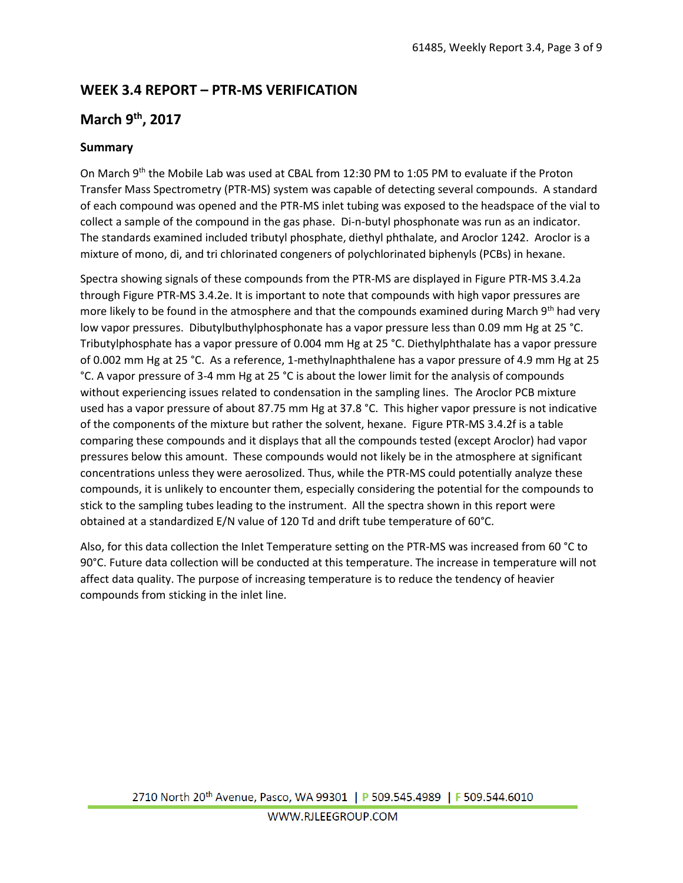# **WEEK 3.4 REPORT – PTR-MS VERIFICATION**

## **March 9th, 2017**

#### **Summary**

On March 9<sup>th</sup> the Mobile Lab was used at CBAL from 12:30 PM to 1:05 PM to evaluate if the Proton Transfer Mass Spectrometry (PTR-MS) system was capable of detecting several compounds. A standard of each compound was opened and the PTR-MS inlet tubing was exposed to the headspace of the vial to collect a sample of the compound in the gas phase. Di-n-butyl phosphonate was run as an indicator. The standards examined included tributyl phosphate, diethyl phthalate, and Aroclor 1242. Aroclor is a mixture of mono, di, and tri chlorinated congeners of polychlorinated biphenyls (PCBs) in hexane.

Spectra showing signals of these compounds from the PTR-MS are displayed in Figure PTR-MS 3.4.2a through Figure PTR-MS 3.4.2e. It is important to note that compounds with high vapor pressures are more likely to be found in the atmosphere and that the compounds examined during March 9<sup>th</sup> had very low vapor pressures. Dibutylbuthylphosphonate has a vapor pressure less than 0.09 mm Hg at 25 °C. Tributylphosphate has a vapor pressure of 0.004 mm Hg at 25 °C. Diethylphthalate has a vapor pressure of 0.002 mm Hg at 25 °C. As a reference, 1-methylnaphthalene has a vapor pressure of 4.9 mm Hg at 25 °C. A vapor pressure of 3-4 mm Hg at 25 °C is about the lower limit for the analysis of compounds without experiencing issues related to condensation in the sampling lines. The Aroclor PCB mixture used has a vapor pressure of about 87.75 mm Hg at 37.8 °C. This higher vapor pressure is not indicative of the components of the mixture but rather the solvent, hexane. Figure PTR-MS 3.4.2f is a table comparing these compounds and it displays that all the compounds tested (except Aroclor) had vapor pressures below this amount. These compounds would not likely be in the atmosphere at significant concentrations unless they were aerosolized. Thus, while the PTR-MS could potentially analyze these compounds, it is unlikely to encounter them, especially considering the potential for the compounds to stick to the sampling tubes leading to the instrument. All the spectra shown in this report were obtained at a standardized E/N value of 120 Td and drift tube temperature of 60°C.

Also, for this data collection the Inlet Temperature setting on the PTR-MS was increased from 60 °C to 90°C. Future data collection will be conducted at this temperature. The increase in temperature will not affect data quality. The purpose of increasing temperature is to reduce the tendency of heavier compounds from sticking in the inlet line.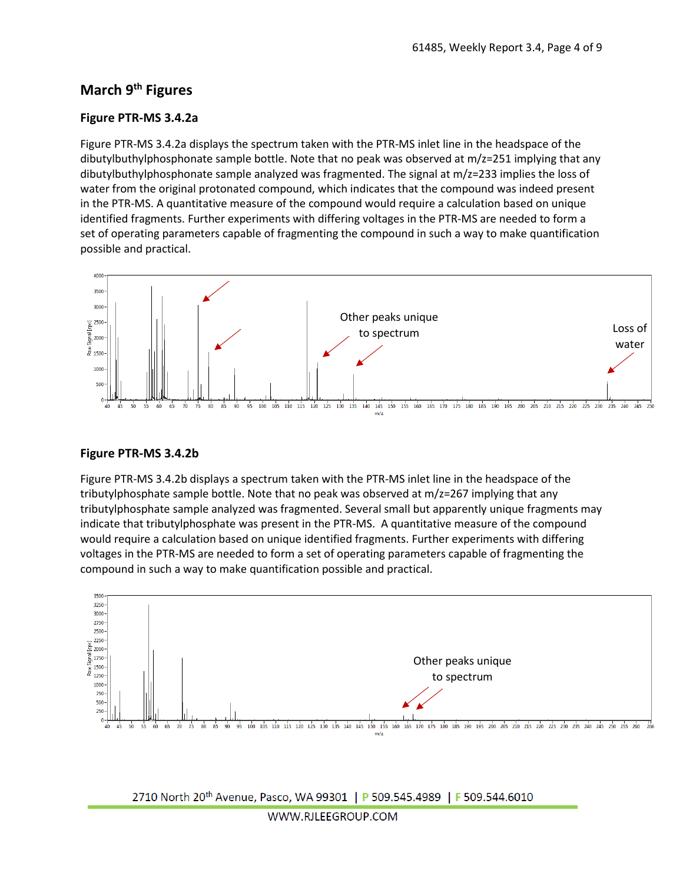### **March 9th Figures**

#### **Figure PTR-MS 3.4.2a**

Figure PTR-MS 3.4.2a displays the spectrum taken with the PTR-MS inlet line in the headspace of the dibutylbuthylphosphonate sample bottle. Note that no peak was observed at m/z=251 implying that any dibutylbuthylphosphonate sample analyzed was fragmented. The signal at m/z=233 implies the loss of water from the original protonated compound, which indicates that the compound was indeed present in the PTR-MS. A quantitative measure of the compound would require a calculation based on unique identified fragments. Further experiments with differing voltages in the PTR-MS are needed to form a set of operating parameters capable of fragmenting the compound in such a way to make quantification possible and practical.



#### **Figure PTR-MS 3.4.2b**

Figure PTR-MS 3.4.2b displays a spectrum taken with the PTR-MS inlet line in the headspace of the tributylphosphate sample bottle. Note that no peak was observed at m/z=267 implying that any tributylphosphate sample analyzed was fragmented. Several small but apparently unique fragments may indicate that tributylphosphate was present in the PTR-MS. A quantitative measure of the compound would require a calculation based on unique identified fragments. Further experiments with differing voltages in the PTR-MS are needed to form a set of operating parameters capable of fragmenting the compound in such a way to make quantification possible and practical.



2710 North 20<sup>th</sup> Avenue, Pasco, WA 99301 | P 509.545.4989 | F 509.544.6010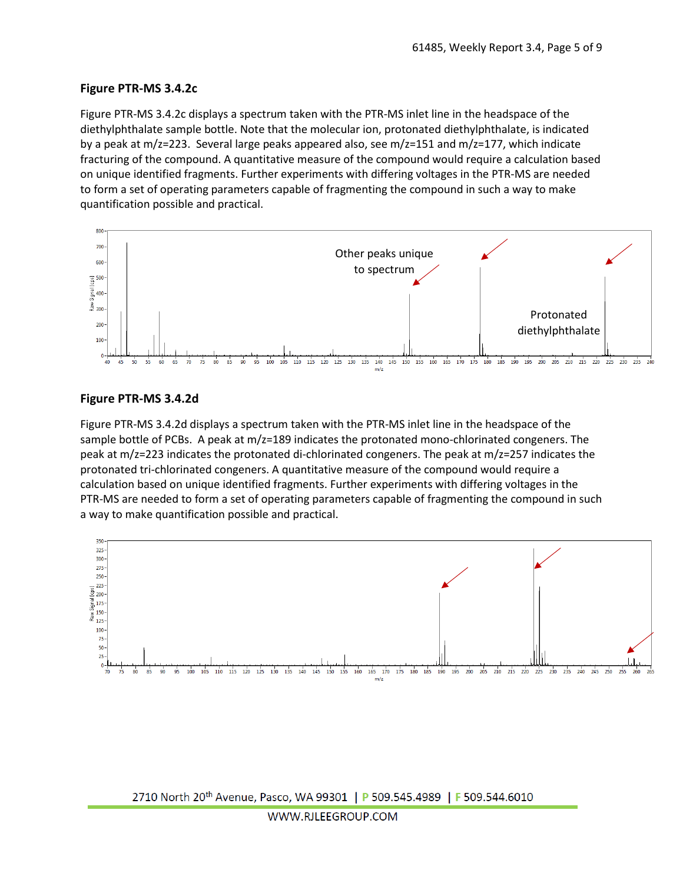#### **Figure PTR-MS 3.4.2c**

Figure PTR-MS 3.4.2c displays a spectrum taken with the PTR-MS inlet line in the headspace of the diethylphthalate sample bottle. Note that the molecular ion, protonated diethylphthalate, is indicated by a peak at m/z=223. Several large peaks appeared also, see m/z=151 and m/z=177, which indicate fracturing of the compound. A quantitative measure of the compound would require a calculation based on unique identified fragments. Further experiments with differing voltages in the PTR-MS are needed to form a set of operating parameters capable of fragmenting the compound in such a way to make quantification possible and practical.



#### **Figure PTR-MS 3.4.2d**

Figure PTR-MS 3.4.2d displays a spectrum taken with the PTR-MS inlet line in the headspace of the sample bottle of PCBs. A peak at m/z=189 indicates the protonated mono-chlorinated congeners. The peak at m/z=223 indicates the protonated di-chlorinated congeners. The peak at m/z=257 indicates the protonated tri-chlorinated congeners. A quantitative measure of the compound would require a calculation based on unique identified fragments. Further experiments with differing voltages in the PTR-MS are needed to form a set of operating parameters capable of fragmenting the compound in such a way to make quantification possible and practical.

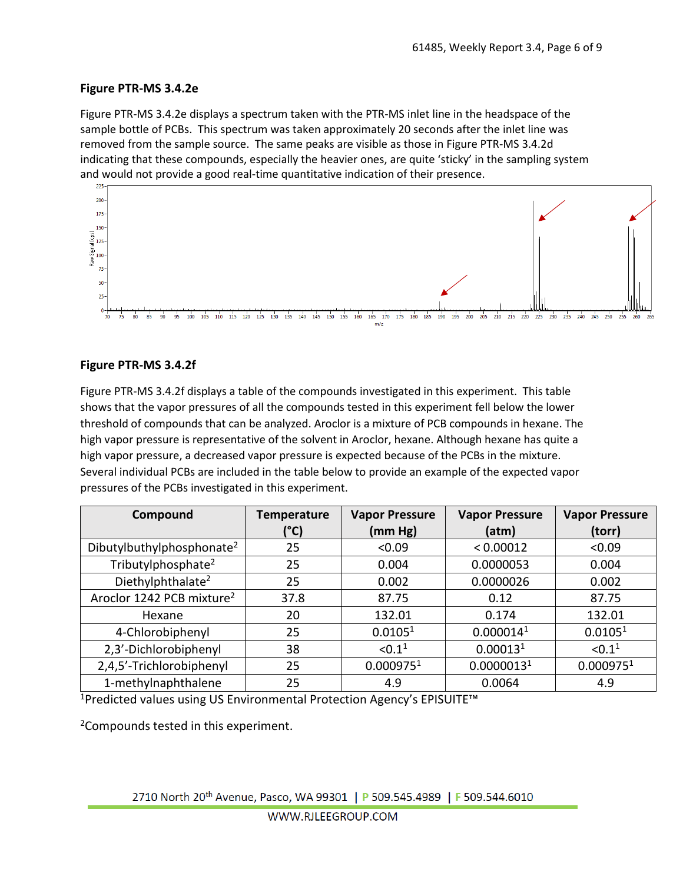#### **Figure PTR-MS 3.4.2e**

Figure PTR-MS 3.4.2e displays a spectrum taken with the PTR-MS inlet line in the headspace of the sample bottle of PCBs. This spectrum was taken approximately 20 seconds after the inlet line was removed from the sample source. The same peaks are visible as those in Figure PTR-MS 3.4.2d indicating that these compounds, especially the heavier ones, are quite 'sticky' in the sampling system and would not provide a good real-time quantitative indication of their presence.



#### **Figure PTR-MS 3.4.2f**

Figure PTR-MS 3.4.2f displays a table of the compounds investigated in this experiment. This table shows that the vapor pressures of all the compounds tested in this experiment fell below the lower threshold of compounds that can be analyzed. Aroclor is a mixture of PCB compounds in hexane. The high vapor pressure is representative of the solvent in Aroclor, hexane. Although hexane has quite a high vapor pressure, a decreased vapor pressure is expected because of the PCBs in the mixture. Several individual PCBs are included in the table below to provide an example of the expected vapor pressures of the PCBs investigated in this experiment.

| Compound                              | <b>Temperature</b> | <b>Vapor Pressure</b> | <b>Vapor Pressure</b>  | <b>Vapor Pressure</b> |
|---------------------------------------|--------------------|-----------------------|------------------------|-----------------------|
|                                       | (°C)               | (mm Hg)               | (atm)                  | (torr)                |
| Dibutylbuthylphosphonate <sup>2</sup> | 25                 | < 0.09                | < 0.00012              | < 0.09                |
| Tributylphosphate <sup>2</sup>        | 25                 | 0.004                 | 0.0000053              | 0.004                 |
| Diethylphthalate <sup>2</sup>         | 25                 | 0.002                 | 0.0000026              | 0.002                 |
| Aroclor 1242 PCB mixture <sup>2</sup> | 37.8               | 87.75                 | 0.12                   | 87.75                 |
| Hexane                                | 20                 | 132.01                | 0.174                  | 132.01                |
| 4-Chlorobiphenyl                      | 25                 | 0.0105 <sup>1</sup>   | 0.000014 <sup>1</sup>  | 0.0105 <sup>1</sup>   |
| 2,3'-Dichlorobiphenyl                 | 38                 | < 0.1 <sup>1</sup>    | 0.00013 <sup>1</sup>   | < 0.1 <sup>1</sup>    |
| 2,4,5'-Trichlorobiphenyl              | 25                 | 0.000975 <sup>1</sup> | 0.0000013 <sup>1</sup> | 0.000975 <sup>1</sup> |
| 1-methylnaphthalene                   | 25                 | 4.9                   | 0.0064                 | 4.9                   |

<sup>1</sup>Predicted values using US Environmental Protection Agency's EPISUITE<sup>™</sup>

2Compounds tested in this experiment.

2710 North 20<sup>th</sup> Avenue, Pasco, WA 99301 | P 509.545.4989 | F 509.544.6010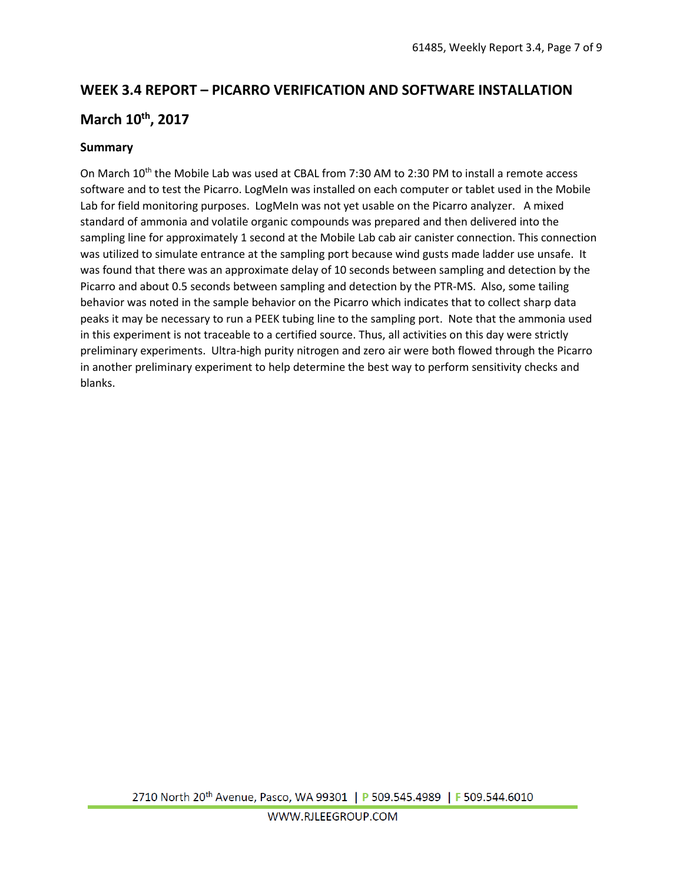# **WEEK 3.4 REPORT – PICARRO VERIFICATION AND SOFTWARE INSTALLATION March 10th, 2017**

#### **Summary**

On March 10<sup>th</sup> the Mobile Lab was used at CBAL from 7:30 AM to 2:30 PM to install a remote access software and to test the Picarro. LogMeIn was installed on each computer or tablet used in the Mobile Lab for field monitoring purposes. LogMeIn was not yet usable on the Picarro analyzer. A mixed standard of ammonia and volatile organic compounds was prepared and then delivered into the sampling line for approximately 1 second at the Mobile Lab cab air canister connection. This connection was utilized to simulate entrance at the sampling port because wind gusts made ladder use unsafe. It was found that there was an approximate delay of 10 seconds between sampling and detection by the Picarro and about 0.5 seconds between sampling and detection by the PTR-MS. Also, some tailing behavior was noted in the sample behavior on the Picarro which indicates that to collect sharp data peaks it may be necessary to run a PEEK tubing line to the sampling port. Note that the ammonia used in this experiment is not traceable to a certified source. Thus, all activities on this day were strictly preliminary experiments. Ultra-high purity nitrogen and zero air were both flowed through the Picarro in another preliminary experiment to help determine the best way to perform sensitivity checks and blanks.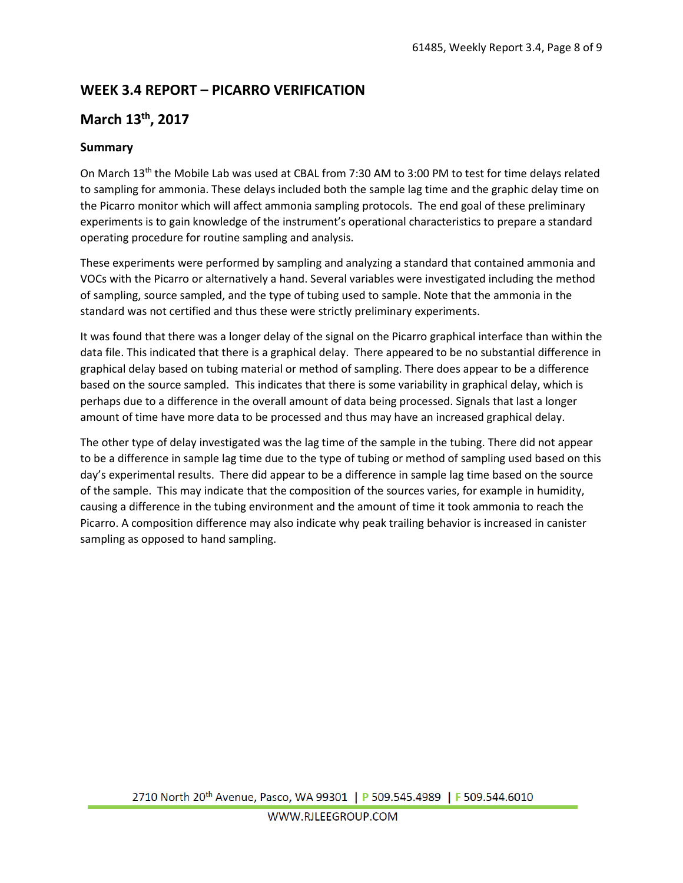# **WEEK 3.4 REPORT – PICARRO VERIFICATION**

## **March 13th, 2017**

#### **Summary**

On March 13th the Mobile Lab was used at CBAL from 7:30 AM to 3:00 PM to test for time delays related to sampling for ammonia. These delays included both the sample lag time and the graphic delay time on the Picarro monitor which will affect ammonia sampling protocols. The end goal of these preliminary experiments is to gain knowledge of the instrument's operational characteristics to prepare a standard operating procedure for routine sampling and analysis.

These experiments were performed by sampling and analyzing a standard that contained ammonia and VOCs with the Picarro or alternatively a hand. Several variables were investigated including the method of sampling, source sampled, and the type of tubing used to sample. Note that the ammonia in the standard was not certified and thus these were strictly preliminary experiments.

It was found that there was a longer delay of the signal on the Picarro graphical interface than within the data file. This indicated that there is a graphical delay. There appeared to be no substantial difference in graphical delay based on tubing material or method of sampling. There does appear to be a difference based on the source sampled. This indicates that there is some variability in graphical delay, which is perhaps due to a difference in the overall amount of data being processed. Signals that last a longer amount of time have more data to be processed and thus may have an increased graphical delay.

The other type of delay investigated was the lag time of the sample in the tubing. There did not appear to be a difference in sample lag time due to the type of tubing or method of sampling used based on this day's experimental results. There did appear to be a difference in sample lag time based on the source of the sample. This may indicate that the composition of the sources varies, for example in humidity, causing a difference in the tubing environment and the amount of time it took ammonia to reach the Picarro. A composition difference may also indicate why peak trailing behavior is increased in canister sampling as opposed to hand sampling.